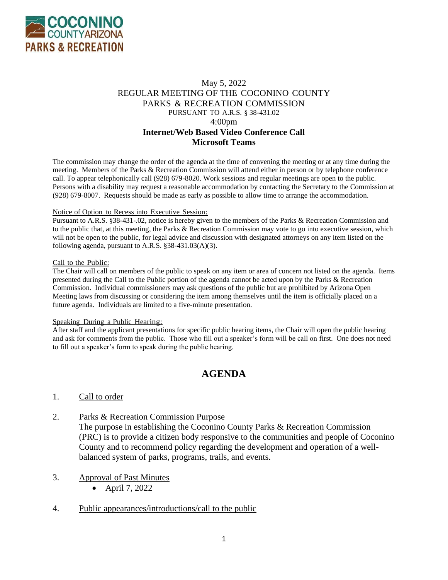

# May 5, 2022 REGULAR MEETING OF THE COCONINO COUNTY PARKS & RECREATION COMMISSION PURSUANT TO A.R.S. § 38-431.02 4:00pm **Internet/Web Based Video Conference Call Microsoft Teams**

The commission may change the order of the agenda at the time of convening the meeting or at any time during the meeting. Members of the Parks & Recreation Commission will attend either in person or by telephone conference call. To appear telephonically call (928) 679-8020. Work sessions and regular meetings are open to the public. Persons with a disability may request a reasonable accommodation by contacting the Secretary to the Commission at (928) 679-8007. Requests should be made as early as possible to allow time to arrange the accommodation.

#### Notice of Option to Recess into Executive Session:

Pursuant to A.R.S. §38-431-.02, notice is hereby given to the members of the Parks & Recreation Commission and to the public that, at this meeting, the Parks & Recreation Commission may vote to go into executive session, which will not be open to the public, for legal advice and discussion with designated attorneys on any item listed on the following agenda, pursuant to A.R.S. §38-431.03(A)(3).

#### Call to the Public:

The Chair will call on members of the public to speak on any item or area of concern not listed on the agenda. Items presented during the Call to the Public portion of the agenda cannot be acted upon by the Parks & Recreation Commission. Individual commissioners may ask questions of the public but are prohibited by Arizona Open Meeting laws from discussing or considering the item among themselves until the item is officially placed on a future agenda. Individuals are limited to a five-minute presentation.

#### Speaking During a Public Hearing:

After staff and the applicant presentations for specific public hearing items, the Chair will open the public hearing and ask for comments from the public. Those who fill out a speaker's form will be call on first. One does not need to fill out a speaker's form to speak during the public hearing.

# **AGENDA**

#### 1. Call to order

2. Parks & Recreation Commission Purpose

The purpose in establishing the Coconino County Parks & Recreation Commission (PRC) is to provide a citizen body responsive to the communities and people of Coconino County and to recommend policy regarding the development and operation of a wellbalanced system of parks, programs, trails, and events.

- 3. Approval of Past Minutes
	- April 7, 2022
- 4. Public appearances/introductions/call to the public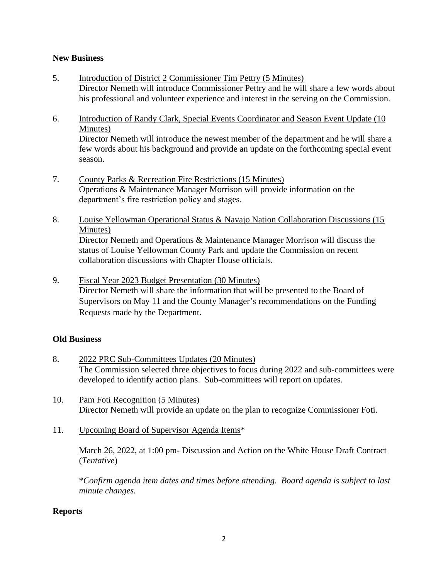# **New Business**

- 5. Introduction of District 2 Commissioner Tim Pettry (5 Minutes) Director Nemeth will introduce Commissioner Pettry and he will share a few words about his professional and volunteer experience and interest in the serving on the Commission.
- 6. Introduction of Randy Clark, Special Events Coordinator and Season Event Update (10 Minutes) Director Nemeth will introduce the newest member of the department and he will share a few words about his background and provide an update on the forthcoming special event season.
- 7. County Parks & Recreation Fire Restrictions (15 Minutes) Operations & Maintenance Manager Morrison will provide information on the department's fire restriction policy and stages.
- 8. Louise Yellowman Operational Status & Navajo Nation Collaboration Discussions (15 Minutes) Director Nemeth and Operations & Maintenance Manager Morrison will discuss the

status of Louise Yellowman County Park and update the Commission on recent collaboration discussions with Chapter House officials.

9. Fiscal Year 2023 Budget Presentation (30 Minutes) Director Nemeth will share the information that will be presented to the Board of Supervisors on May 11 and the County Manager's recommendations on the Funding Requests made by the Department.

## **Old Business**

- 8. 2022 PRC Sub-Committees Updates (20 Minutes) The Commission selected three objectives to focus during 2022 and sub-committees were developed to identify action plans. Sub-committees will report on updates.
- 10. Pam Foti Recognition (5 Minutes) Director Nemeth will provide an update on the plan to recognize Commissioner Foti.
- 11. Upcoming Board of Supervisor Agenda Items\*

March 26, 2022, at 1:00 pm- Discussion and Action on the White House Draft Contract (*Tentative*)

\**Confirm agenda item dates and times before attending. Board agenda is subject to last minute changes.*

## **Reports**